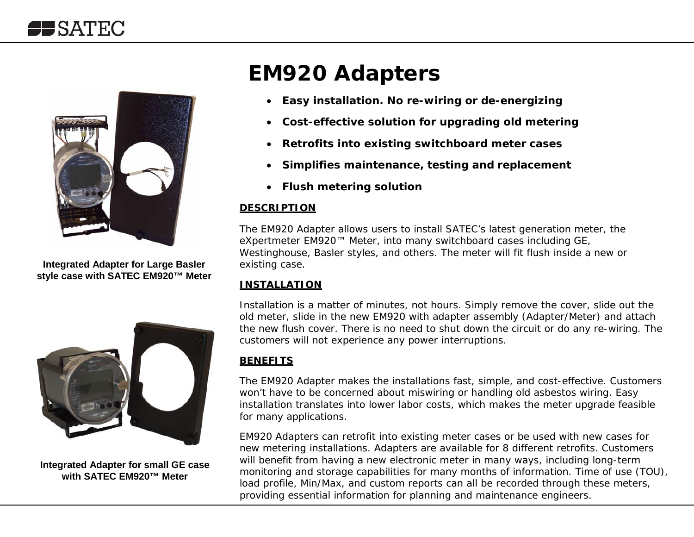

**Integrated Adapter for Large Basler style case with SATEC EM920™ Meter**



**Integrated Adapter for small GE case with SATEC EM920™ Meter**

# **EM920 Adapters**

- *Easy installation. No re-wiring or de-energizing*
- *Cost-effective solution for upgrading old metering*
- *Retrofits into existing switchboard meter cases*
- *Simplifies maintenance, testing and replacement*
- *Flush metering solution*

#### *DESCRIPTION*

The EM920 Adapter allows users to install SATEC's latest generation meter, the eXpertmeter EM920™ Meter, into many switchboard cases including GE, Westinghouse, Basler styles, and others. The meter will fit flush inside a new or existing case.

#### *INSTALLATION*

Installation is a matter of minutes, not hours. Simply remove the cover, slide out the old meter, slide in the new EM920 with adapter assembly (Adapter/Meter) and attach the new flush cover. There is no need to shut down the circuit or do any re-wiring. The customers will not experience any power interruptions.

#### *BENEFITS*

The EM920 Adapter makes the installations fast, simple, and cost-effective. Customers won't have to be concerned about miswiring or handling old asbestos wiring. Easy installation translates into lower labor costs, which makes the meter upgrade feasible for many applications.

EM920 Adapters can retrofit into existing meter cases or be used with new cases for new metering installations. Adapters are available for 8 different retrofits. Customers will benefit from having a new electronic meter in many ways, including long-term monitoring and storage capabilities for many months of information. Time of use (TOU), load profile, Min/Max, and custom reports can all be recorded through these meters, providing essential information for planning and maintenance engineers.